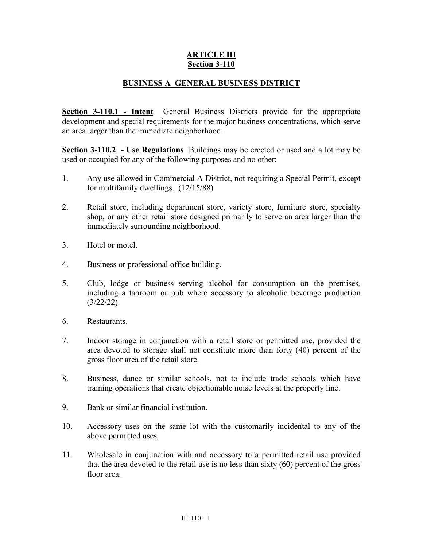## **ARTICLE III Section 3-110**

## **BUSINESS A GENERAL BUSINESS DISTRICT**

**Section 3-110.1 - Intent** General Business Districts provide for the appropriate development and special requirements for the major business concentrations, which serve an area larger than the immediate neighborhood.

**Section 3-110.2 - Use Regulations** Buildings may be erected or used and a lot may be used or occupied for any of the following purposes and no other:

- 1. Any use allowed in Commercial A District, not requiring a Special Permit, except for multifamily dwellings. (12/15/88)
- 2. Retail store, including department store, variety store, furniture store, specialty shop, or any other retail store designed primarily to serve an area larger than the immediately surrounding neighborhood.
- 3. Hotel or motel.
- 4. Business or professional office building.
- 5. Club, lodge or business serving alcohol for consumption on the premises*,*  including a taproom or pub where accessory to alcoholic beverage production (3/22/22)
- 6. Restaurants.
- 7. Indoor storage in conjunction with a retail store or permitted use, provided the area devoted to storage shall not constitute more than forty (40) percent of the gross floor area of the retail store.
- 8. Business, dance or similar schools, not to include trade schools which have training operations that create objectionable noise levels at the property line.
- 9. Bank or similar financial institution.
- 10. Accessory uses on the same lot with the customarily incidental to any of the above permitted uses.
- 11. Wholesale in conjunction with and accessory to a permitted retail use provided that the area devoted to the retail use is no less than sixty (60) percent of the gross floor area.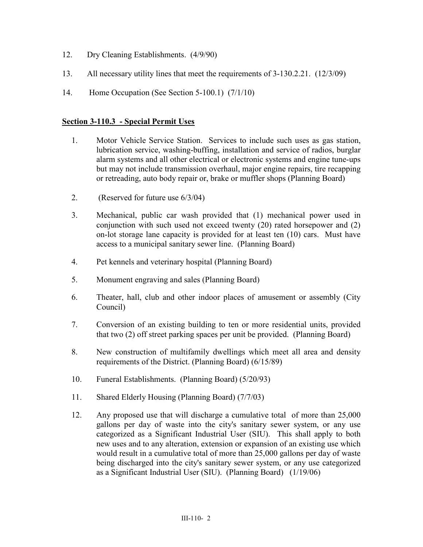- 12. Dry Cleaning Establishments. (4/9/90)
- 13. All necessary utility lines that meet the requirements of 3-130.2.21. (12/3/09)
- 14. Home Occupation (See Section 5-100.1) (7/1/10)

## **Section 3-110.3 - Special Permit Uses**

- 1. Motor Vehicle Service Station. Services to include such uses as gas station, lubrication service, washing-buffing, installation and service of radios, burglar alarm systems and all other electrical or electronic systems and engine tune-ups but may not include transmission overhaul, major engine repairs, tire recapping or retreading, auto body repair or, brake or muffler shops (Planning Board)
- 2. (Reserved for future use 6/3/04)
- 3. Mechanical, public car wash provided that (1) mechanical power used in conjunction with such used not exceed twenty (20) rated horsepower and (2) on-lot storage lane capacity is provided for at least ten (10) cars. Must have access to a municipal sanitary sewer line. (Planning Board)
- 4. Pet kennels and veterinary hospital (Planning Board)
- 5. Monument engraving and sales (Planning Board)
- 6. Theater, hall, club and other indoor places of amusement or assembly (City Council)
- 7. Conversion of an existing building to ten or more residential units, provided that two (2) off street parking spaces per unit be provided. (Planning Board)
- 8. New construction of multifamily dwellings which meet all area and density requirements of the District. (Planning Board) (6/15/89)
- 10. Funeral Establishments. (Planning Board) (5/20/93)
- 11. Shared Elderly Housing (Planning Board) (7/7/03)
- 12. Any proposed use that will discharge a cumulative total of more than 25,000 gallons per day of waste into the city's sanitary sewer system, or any use categorized as a Significant Industrial User (SIU). This shall apply to both new uses and to any alteration, extension or expansion of an existing use which would result in a cumulative total of more than 25,000 gallons per day of waste being discharged into the city's sanitary sewer system, or any use categorized as a Significant Industrial User (SIU). (Planning Board) (1/19/06)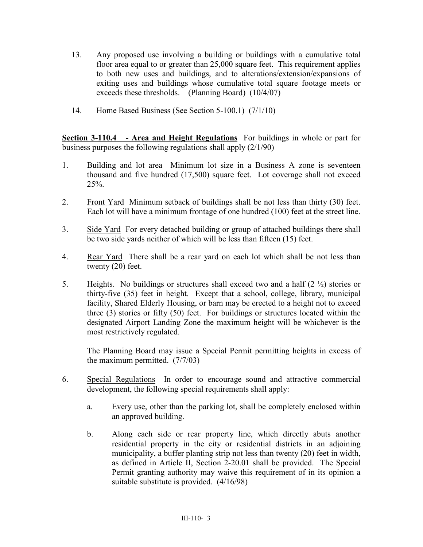- 13. Any proposed use involving a building or buildings with a cumulative total floor area equal to or greater than 25,000 square feet. This requirement applies to both new uses and buildings, and to alterations/extension/expansions of exiting uses and buildings whose cumulative total square footage meets or exceeds these thresholds. (Planning Board) (10/4/07)
- 14. Home Based Business (See Section 5-100.1) (7/1/10)

**Section 3-110.4 - Area and Height Regulations** For buildings in whole or part for business purposes the following regulations shall apply (2/1/90)

- 1. Building and lot area Minimum lot size in a Business A zone is seventeen thousand and five hundred (17,500) square feet. Lot coverage shall not exceed  $25%$ .
- 2. Front Yard Minimum setback of buildings shall be not less than thirty (30) feet. Each lot will have a minimum frontage of one hundred (100) feet at the street line.
- 3. Side Yard For every detached building or group of attached buildings there shall be two side yards neither of which will be less than fifteen (15) feet.
- 4. Rear Yard There shall be a rear yard on each lot which shall be not less than twenty (20) feet.
- 5. Heights. No buildings or structures shall exceed two and a half  $(2 \frac{1}{2})$  stories or thirty-five (35) feet in height. Except that a school, college, library, municipal facility, Shared Elderly Housing, or barn may be erected to a height not to exceed three (3) stories or fifty (50) feet. For buildings or structures located within the designated Airport Landing Zone the maximum height will be whichever is the most restrictively regulated.

The Planning Board may issue a Special Permit permitting heights in excess of the maximum permitted. (7/7/03)

- 6. Special Regulations In order to encourage sound and attractive commercial development, the following special requirements shall apply:
	- a. Every use, other than the parking lot, shall be completely enclosed within an approved building.
	- b. Along each side or rear property line, which directly abuts another residential property in the city or residential districts in an adjoining municipality, a buffer planting strip not less than twenty (20) feet in width, as defined in Article II, Section 2-20.01 shall be provided. The Special Permit granting authority may waive this requirement of in its opinion a suitable substitute is provided. (4/16/98)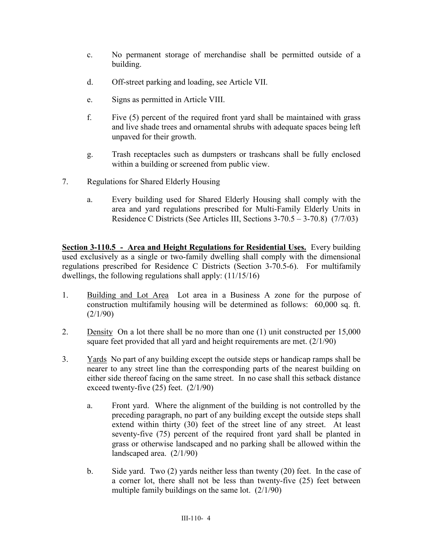- c. No permanent storage of merchandise shall be permitted outside of a building.
- d. Off-street parking and loading, see Article VII.
- e. Signs as permitted in Article VIII.
- f. Five (5) percent of the required front yard shall be maintained with grass and live shade trees and ornamental shrubs with adequate spaces being left unpaved for their growth.
- g. Trash receptacles such as dumpsters or trashcans shall be fully enclosed within a building or screened from public view.
- 7. Regulations for Shared Elderly Housing
	- a. Every building used for Shared Elderly Housing shall comply with the area and yard regulations prescribed for Multi-Family Elderly Units in Residence C Districts (See Articles III, Sections 3-70.5 – 3-70.8) (7/7/03)

**Section 3-110.5 - Area and Height Regulations for Residential Uses.** Every building used exclusively as a single or two-family dwelling shall comply with the dimensional regulations prescribed for Residence C Districts (Section 3-70.5-6). For multifamily dwellings, the following regulations shall apply: (11/15/16)

- 1. Building and Lot Area Lot area in a Business A zone for the purpose of construction multifamily housing will be determined as follows: 60,000 sq. ft. (2/1/90)
- 2. Density On a lot there shall be no more than one (1) unit constructed per 15,000 square feet provided that all yard and height requirements are met. (2/1/90)
- 3. Yards No part of any building except the outside steps or handicap ramps shall be nearer to any street line than the corresponding parts of the nearest building on either side thereof facing on the same street. In no case shall this setback distance exceed twenty-five  $(25)$  feet.  $(2/1/90)$ 
	- a. Front yard. Where the alignment of the building is not controlled by the preceding paragraph, no part of any building except the outside steps shall extend within thirty (30) feet of the street line of any street. At least seventy-five (75) percent of the required front yard shall be planted in grass or otherwise landscaped and no parking shall be allowed within the landscaped area. (2/1/90)
	- b. Side yard. Two (2) yards neither less than twenty (20) feet. In the case of a corner lot, there shall not be less than twenty-five (25) feet between multiple family buildings on the same lot. (2/1/90)